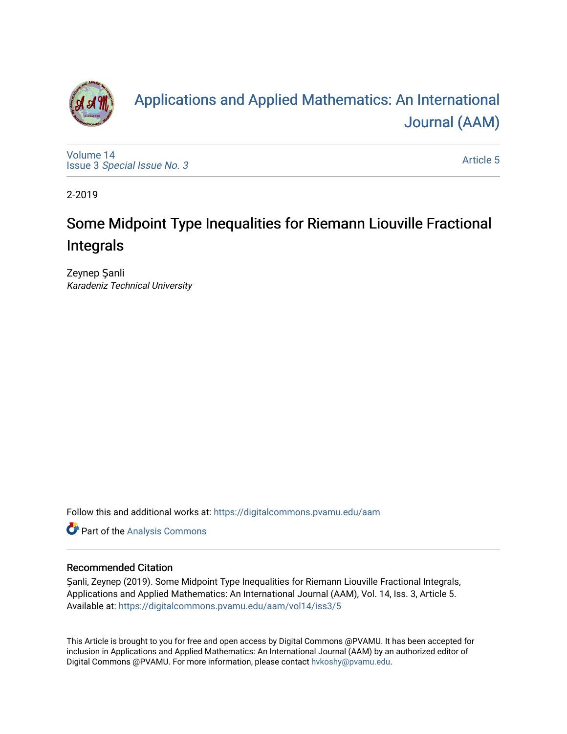

# [Applications and Applied Mathematics: An International](https://digitalcommons.pvamu.edu/aam)  [Journal \(AAM\)](https://digitalcommons.pvamu.edu/aam)

[Volume 14](https://digitalcommons.pvamu.edu/aam/vol14) Issue 3 [Special Issue No. 3](https://digitalcommons.pvamu.edu/aam/vol14/iss3)

[Article 5](https://digitalcommons.pvamu.edu/aam/vol14/iss3/5) 

2-2019

# Some Midpoint Type Inequalities for Riemann Liouville Fractional Integrals

Zeynep Şanli Karadeniz Technical University

Follow this and additional works at: [https://digitalcommons.pvamu.edu/aam](https://digitalcommons.pvamu.edu/aam?utm_source=digitalcommons.pvamu.edu%2Faam%2Fvol14%2Fiss3%2F5&utm_medium=PDF&utm_campaign=PDFCoverPages) 

Part of the [Analysis Commons](http://network.bepress.com/hgg/discipline/177?utm_source=digitalcommons.pvamu.edu%2Faam%2Fvol14%2Fiss3%2F5&utm_medium=PDF&utm_campaign=PDFCoverPages)

## Recommended Citation

Şanli, Zeynep (2019). Some Midpoint Type Inequalities for Riemann Liouville Fractional Integrals, Applications and Applied Mathematics: An International Journal (AAM), Vol. 14, Iss. 3, Article 5. Available at: [https://digitalcommons.pvamu.edu/aam/vol14/iss3/5](https://digitalcommons.pvamu.edu/aam/vol14/iss3/5?utm_source=digitalcommons.pvamu.edu%2Faam%2Fvol14%2Fiss3%2F5&utm_medium=PDF&utm_campaign=PDFCoverPages) 

This Article is brought to you for free and open access by Digital Commons @PVAMU. It has been accepted for inclusion in Applications and Applied Mathematics: An International Journal (AAM) by an authorized editor of Digital Commons @PVAMU. For more information, please contact [hvkoshy@pvamu.edu.](mailto:hvkoshy@pvamu.edu)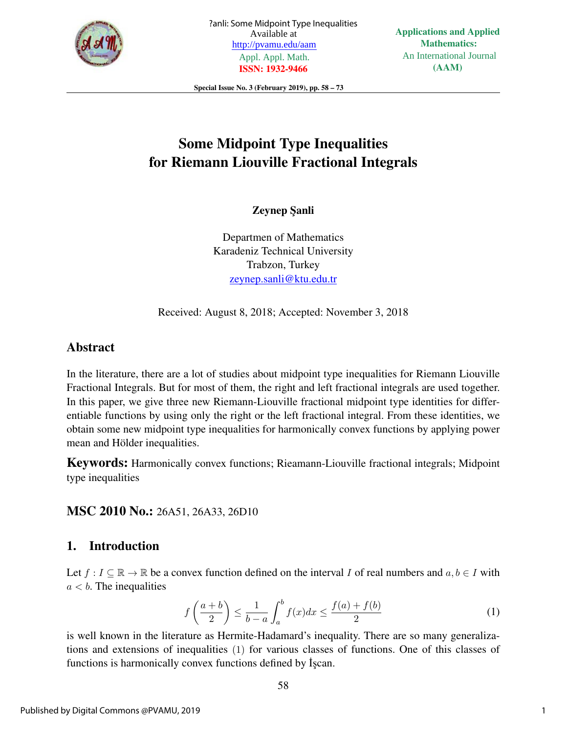

Special Issue No. 3 (February 2019), pp. 58 – 73

# Some Midpoint Type Inequalities for Riemann Liouville Fractional Integrals

Zeynep Sanli

Departmen of Mathematics Karadeniz Technical University Trabzon, Turkey zeynep.sanli@ktu.edu.tr

Received: August 8, 2018; Accepted: November 3, 2018

# Abstract

In the literature, there are a lot of studies about midpoint type inequalities for Riemann Liouville Fractional Integrals. But for most of them, the right and left fractional integrals are used together. In this paper, we give three new Riemann-Liouville fractional midpoint type identities for differentiable functions by using only the right or the left fractional integral. From these identities, we obtain some new midpoint type inequalities for harmonically convex functions by applying power mean and Hölder inequalities.

Keywords: Harmonically convex functions; Rieamann-Liouville fractional integrals; Midpoint type inequalities

MSC 2010 No.: 26A51, 26A33, 26D10

# 1. Introduction

Let  $f: I \subseteq \mathbb{R} \to \mathbb{R}$  be a convex function defined on the interval I of real numbers and  $a, b \in I$  with  $a < b$ . The inequalities

$$
f\left(\frac{a+b}{2}\right) \le \frac{1}{b-a} \int_a^b f(x)dx \le \frac{f(a)+f(b)}{2} \tag{1}
$$

is well known in the literature as Hermite-Hadamard's inequality. There are so many generalizations and extensions of inequalities (1) for various classes of functions. One of this classes of functions is harmonically convex functions defined by  $\dot{I}$  scan.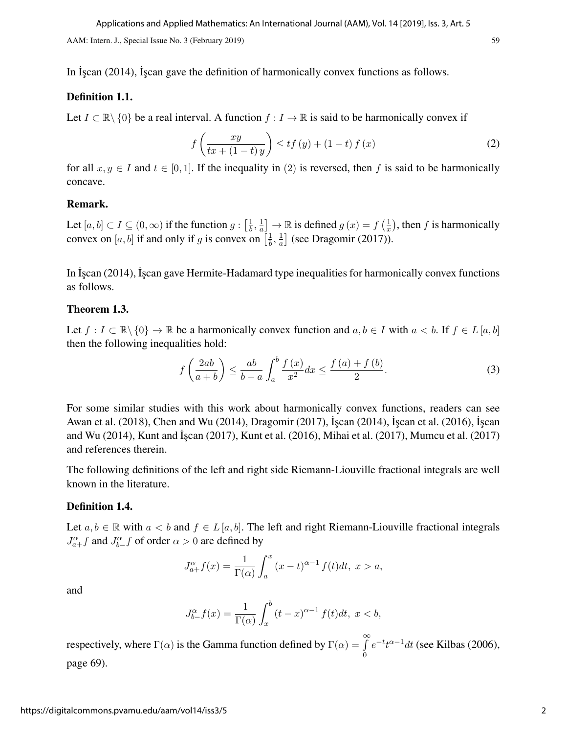In Iscan (2014), Iscan gave the definition of harmonically convex functions as follows.

#### Definition 1.1.

Let  $I \subset \mathbb{R} \setminus \{0\}$  be a real interval. A function  $f : I \to \mathbb{R}$  is said to be harmonically convex if

$$
f\left(\frac{xy}{tx + (1-t)y}\right) \le tf\left(y\right) + (1-t)f\left(x\right) \tag{2}
$$

for all  $x, y \in I$  and  $t \in [0, 1]$ . If the inequality in (2) is reversed, then f is said to be harmonically concave.

### Remark.

Let  $[a, b] \subset I \subseteq (0, \infty)$  if the function  $g : \left[\frac{1}{b}\right]$  $\frac{1}{b}$ ,  $\frac{1}{a}$  $\frac{1}{a}$   $\Big] \rightarrow \mathbb{R}$  is defined  $g(x) = f\left(\frac{1}{x}\right)$  $(\frac{1}{x})$ , then f is harmonically convex on [a, b] if and only if g is convex on  $\left[\frac{1}{b}\right]$  $\frac{1}{b}$ ,  $\frac{1}{a}$  $\frac{1}{a}$ ] (see Dragomir (2017)).

In *I*<sub>scan</sub> (2014), *I*<sub>scan</sub> gave Hermite-Hadamard type inequalities for harmonically convex functions as follows.

#### Theorem 1.3.

Let  $f : I \subset \mathbb{R} \setminus \{0\} \to \mathbb{R}$  be a harmonically convex function and  $a, b \in I$  with  $a < b$ . If  $f \in L[a, b]$ then the following inequalities hold:

$$
f\left(\frac{2ab}{a+b}\right) \le \frac{ab}{b-a} \int_a^b \frac{f(x)}{x^2} dx \le \frac{f(a) + f(b)}{2}.
$$
 (3)

For some similar studies with this work about harmonically convex functions, readers can see Awan et al. (2018), Chen and Wu (2014), Dragomir (2017), ˙I¸scan (2014), ˙I¸scan et al. (2016), ˙I¸scan and Wu (2014), Kunt and Iscan (2017), Kunt et al. (2016), Mihai et al. (2017), Mumcu et al. (2017) and references therein.

The following definitions of the left and right side Riemann-Liouville fractional integrals are well known in the literature.

#### Definition 1.4.

Let  $a, b \in \mathbb{R}$  with  $a < b$  and  $f \in L[a, b]$ . The left and right Riemann-Liouville fractional integrals  $J_{a+}^{\alpha}f$  and  $J_{b-}^{\alpha}f$  of order  $\alpha > 0$  are defined by

$$
J_{a+}^{\alpha}f(x) = \frac{1}{\Gamma(\alpha)} \int_{a}^{x} (x-t)^{\alpha-1} f(t)dt, \ x > a,
$$

and

$$
J_{b-}^{\alpha}f(x) = \frac{1}{\Gamma(\alpha)} \int_{x}^{b} (t-x)^{\alpha-1} f(t)dt, \ x < b,
$$

respectively, where  $\Gamma(\alpha)$  is the Gamma function defined by  $\Gamma(\alpha) = \int_{0}^{\infty}$ 0  $e^{-t}t^{\alpha-1}dt$  (see Kilbas (2006), page 69).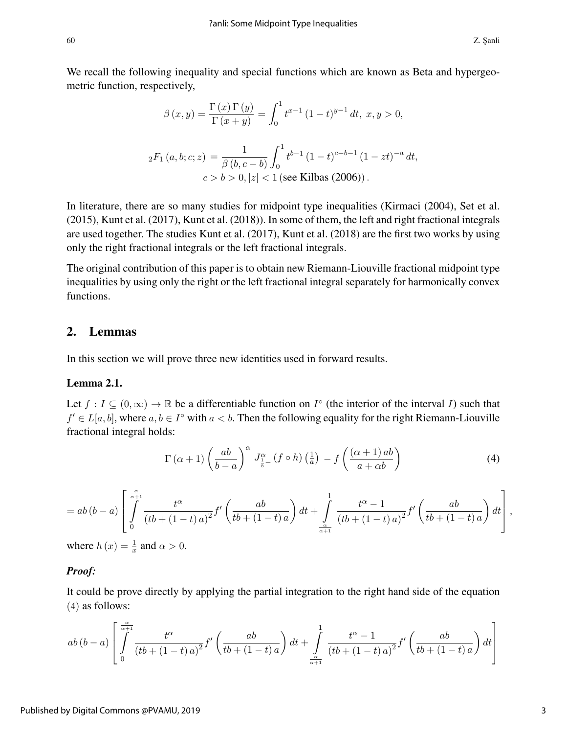We recall the following inequality and special functions which are known as Beta and hypergeometric function, respectively,

$$
\beta(x,y) = \frac{\Gamma(x)\Gamma(y)}{\Gamma(x+y)} = \int_0^1 t^{x-1} (1-t)^{y-1} dt, \ x, y > 0,
$$
  

$$
{}_2F_1(a,b;c;z) = \frac{1}{\beta(b,c-b)} \int_0^1 t^{b-1} (1-t)^{c-b-1} (1-zt)^{-a} dt,
$$
  

$$
c > b > 0, |z| < 1 \text{ (see Kilbas (2006))}.
$$

In literature, there are so many studies for midpoint type inequalities (Kirmaci (2004), Set et al. (2015), Kunt et al. (2017), Kunt et al. (2018)). In some of them, the left and right fractional integrals are used together. The studies Kunt et al. (2017), Kunt et al. (2018) are the first two works by using only the right fractional integrals or the left fractional integrals.

The original contribution of this paper is to obtain new Riemann-Liouville fractional midpoint type inequalities by using only the right or the left fractional integral separately for harmonically convex functions.

## 2. Lemmas

In this section we will prove three new identities used in forward results.

## Lemma 2.1.

Let  $f: I \subseteq (0, \infty) \to \mathbb{R}$  be a differentiable function on  $I^{\circ}$  (the interior of the interval I) such that  $f' \in L[a, b]$ , where  $a, b \in I^{\circ}$  with  $a < b$ . Then the following equality for the right Riemann-Liouville fractional integral holds:

$$
\Gamma\left(\alpha+1\right)\left(\frac{ab}{b-a}\right)^{\alpha}J_{\frac{1}{b}-}^{\alpha}\left(f\circ h\right)\left(\frac{1}{a}\right)-f\left(\frac{\left(\alpha+1\right)ab}{a+\alpha b}\right)
$$
\n
$$
\tag{4}
$$

$$
= ab(b-a)\left[\int_{0}^{\frac{\alpha}{\alpha+1}} \frac{t^{\alpha}}{(tb + (1-t)a)^{2}} f'\left(\frac{ab}{tb + (1-t)a}\right) dt + \int_{\frac{\alpha}{\alpha+1}}^{1} \frac{t^{\alpha}-1}{(tb + (1-t)a)^{2}} f'\left(\frac{ab}{tb + (1-t)a}\right) dt\right],
$$

where  $h(x) = \frac{1}{x}$  and  $\alpha > 0$ .

#### *Proof:*

It could be prove directly by applying the partial integration to the right hand side of the equation (4) as follows:

$$
ab(b-a)\left[\int\limits_{0}^{\frac{\alpha}{\alpha+1}}\frac{t^{\alpha}}{\left(tb+(1-t)a\right)^{2}}f'\left(\frac{ab}{tb+(1-t)a}\right)dt+\int\limits_{\frac{\alpha}{\alpha+1}}^{1}\frac{t^{\alpha}-1}{\left(tb+(1-t)a\right)^{2}}f'\left(\frac{ab}{tb+(1-t)a}\right)dt\right]
$$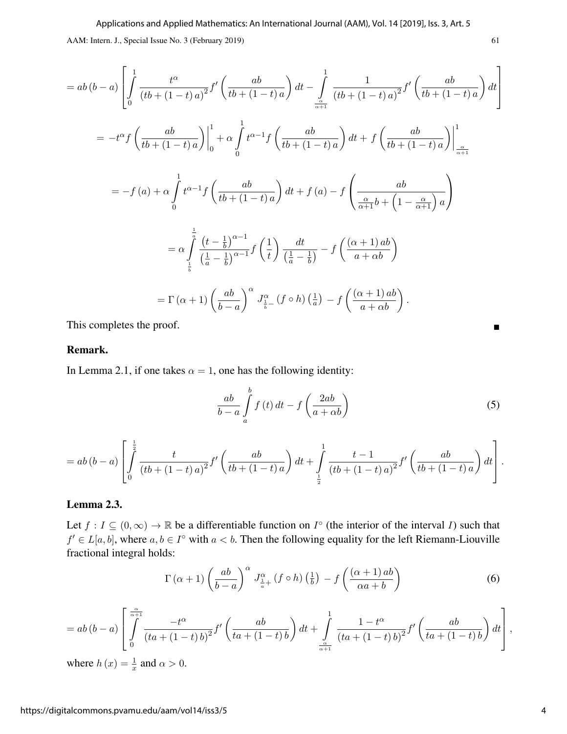$$
= ab(b-a)\left[\int_{0}^{1} \frac{t^{\alpha}}{(tb+(1-t)a)^{2}} f'\left(\frac{ab}{tb+(1-t)a}\right) dt - \int_{\frac{\alpha}{\alpha+1}}^{1} \frac{1}{(tb+(1-t)a)^{2}} f'\left(\frac{ab}{tb+(1-t)a}\right) dt\right]
$$
  
\n
$$
= -t^{\alpha} f\left(\frac{ab}{tb+(1-t)a}\right)\Big|_{0}^{1} + \alpha \int_{0}^{1} t^{\alpha-1} f\left(\frac{ab}{tb+(1-t)a}\right) dt + f\left(\frac{ab}{tb+(1-t)a}\right)\Big|_{\frac{\alpha}{\alpha+1}}^{1}
$$
  
\n
$$
= -f(a) + \alpha \int_{0}^{1} t^{\alpha-1} f\left(\frac{ab}{tb+(1-t)a}\right) dt + f(a) - f\left(\frac{ab}{\frac{\alpha}{\alpha+1}b+\left(1-\frac{\alpha}{\alpha+1}\right)a}\right)
$$
  
\n
$$
= \alpha \int_{\frac{1}{b}}^{\frac{1}{a}} \frac{(t-\frac{1}{b})^{\alpha-1}}{\left(\frac{1}{a}-\frac{1}{b}\right)^{\alpha-1}} f\left(\frac{1}{t}\right) \frac{dt}{\left(\frac{1}{a}-\frac{1}{b}\right)} - f\left(\frac{(\alpha+1)ab}{a+ab}\right)
$$
  
\n
$$
= \Gamma(\alpha+1) \left(\frac{ab}{b-a}\right)^{\alpha} J_{\frac{1}{b}}^{\alpha} (f \circ h) \left(\frac{1}{a}\right) - f\left(\frac{(\alpha+1)ab}{a+ab}\right).
$$

This completes the proof.

#### Remark.

In Lemma 2.1, if one takes  $\alpha = 1$ , one has the following identity:

$$
\frac{ab}{b-a} \int_{a}^{b} f(t) dt - f\left(\frac{2ab}{a+\alpha b}\right)
$$
 (5)

$$
= ab(b-a)\left[\int_{0}^{\frac{1}{2}}\frac{t}{(tb+(1-t)a)^2}f'\left(\frac{ab}{tb+(1-t)a}\right)dt + \int_{\frac{1}{2}}^{1}\frac{t-1}{(tb+(1-t)a)^2}f'\left(\frac{ab}{tb+(1-t)a}\right)dt\right].
$$

## Lemma 2.3.

Let  $f: I \subseteq (0, \infty) \to \mathbb{R}$  be a differentiable function on  $I^{\circ}$  (the interior of the interval I) such that  $f' \in L[a, b]$ , where  $a, b \in I^{\circ}$  with  $a < b$ . Then the following equality for the left Riemann-Liouville fractional integral holds:

$$
\Gamma\left(\alpha+1\right)\left(\frac{ab}{b-a}\right)^{\alpha}J_{\frac{1}{a}+}^{\alpha}\left(f\circ h\right)\left(\frac{1}{b}\right) - f\left(\frac{\left(\alpha+1\right)ab}{\alpha a+b}\right) \tag{6}
$$

$$
= ab(b-a)\left[\int_{0}^{\frac{\alpha}{\alpha+1}} \frac{-t^{\alpha}}{(ta+(1-t)\,b)^2} f'\left(\frac{ab}{ta+(1-t)\,b}\right) dt + \int_{\frac{\alpha}{\alpha+1}}^{1} \frac{1-t^{\alpha}}{(ta+(1-t)\,b)^2} f'\left(\frac{ab}{ta+(1-t)\,b}\right) dt\right],
$$
  
where  $h(x) = \frac{1}{x}$  and  $\alpha > 0$ .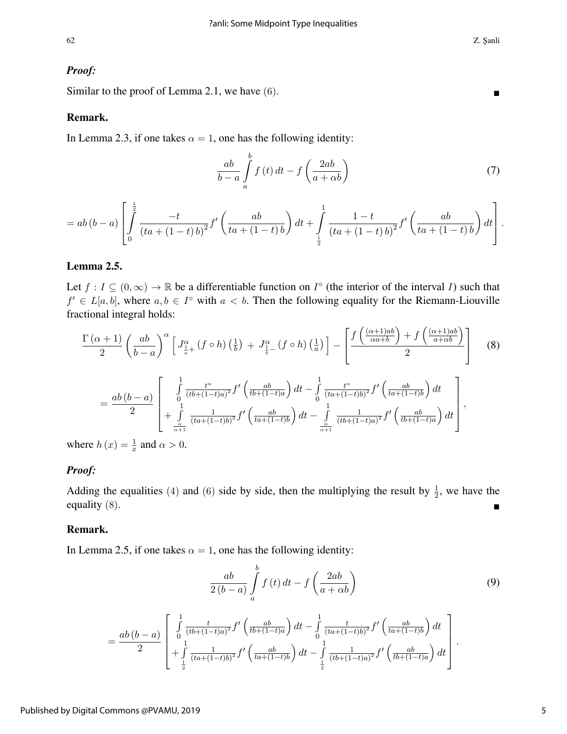#### *Proof:*

Similar to the proof of Lemma 2.1, we have  $(6)$ .

#### Remark.

In Lemma 2.3, if one takes  $\alpha = 1$ , one has the following identity:

$$
\frac{ab}{b-a} \int_{a}^{b} f(t) dt - f\left(\frac{2ab}{a+\alpha b}\right)
$$
 (7)

$$
= ab(b-a)\left[\int_{0}^{\frac{1}{2}}\frac{-t}{(ta+(1-t)b)^2}f'\left(\frac{ab}{ta+(1-t)b}\right)dt+\int_{\frac{1}{2}}^{1}\frac{1-t}{(ta+(1-t)b)^2}f'\left(\frac{ab}{ta+(1-t)b}\right)dt\right].
$$

## Lemma 2.5.

Let  $f: I \subseteq (0, \infty) \to \mathbb{R}$  be a differentiable function on  $I^{\circ}$  (the interior of the interval I) such that  $f' \in L[a, b]$ , where  $a, b \in I^{\circ}$  with  $a < b$ . Then the following equality for the Riemann-Liouville fractional integral holds:

$$
\frac{\Gamma(\alpha+1)}{2} \left(\frac{ab}{b-a}\right)^{\alpha} \left[J_{\frac{1}{a}+}^{\alpha}(f \circ h) \left(\frac{1}{b}\right) + J_{\frac{1}{b}-}^{\alpha}(f \circ h) \left(\frac{1}{a}\right)\right] - \left[\frac{f\left(\frac{(\alpha+1)ab}{\alpha a+b}\right) + f\left(\frac{(\alpha+1)ab}{a+b}\right)}{2}\right]
$$
\n
$$
= \frac{ab(b-a)}{2} \left[\begin{array}{c} \int_{0}^{1} \frac{t^{\alpha}}{(tb+(1-t)a)^{2}} f' \left(\frac{ab}{tb+(1-t)a}\right) dt - \int_{0}^{1} \frac{t^{\alpha}}{(ta+(1-t)b)^{2}} f' \left(\frac{ab}{ta+(1-t)b}\right) dt \\ + \int_{\frac{\alpha}{\alpha+1}}^{1} \frac{1}{(ta+(1-t)b)^{2}} f' \left(\frac{ab}{ta+(1-t)b}\right) dt - \int_{\frac{\alpha}{\alpha+1}}^{1} \frac{1}{(tb+(1-t)a)^{2}} f' \left(\frac{ab}{tb+(1-t)a}\right) dt \end{array}\right],
$$
\nHere

\n
$$
h(x) = \frac{1}{2} \text{ and } \alpha > 0.
$$

where  $h(x) = \frac{1}{x}$  and  $\alpha > 0$ .

#### *Proof:*

Adding the equalities (4) and (6) side by side, then the multiplying the result by  $\frac{1}{2}$ , we have the equality  $(8)$ .

#### Remark.

In Lemma 2.5, if one takes  $\alpha = 1$ , one has the following identity:

$$
\frac{ab}{2(b-a)}\int_{a}^{b}f\left(t\right)dt - f\left(\frac{2ab}{a+\alpha b}\right)
$$
\n(9)

$$
= \frac{ab(b-a)}{2} \left[ \int_{0}^{1} \frac{t}{(tb+(1-t)a)^2} f' \left( \frac{ab}{tb+(1-t)a} \right) dt - \int_{0}^{1} \frac{t}{(ta+(1-t)b)^2} f' \left( \frac{ab}{ta+(1-t)b} \right) dt \right] + \int_{\frac{1}{2}}^{1} \frac{1}{(ta+(1-t)b)^2} f' \left( \frac{ab}{ta+(1-t)b} \right) dt - \int_{\frac{1}{2}}^{1} \frac{1}{(tb+(1-t)a)^2} f' \left( \frac{ab}{tb+(1-t)a} \right) dt \right].
$$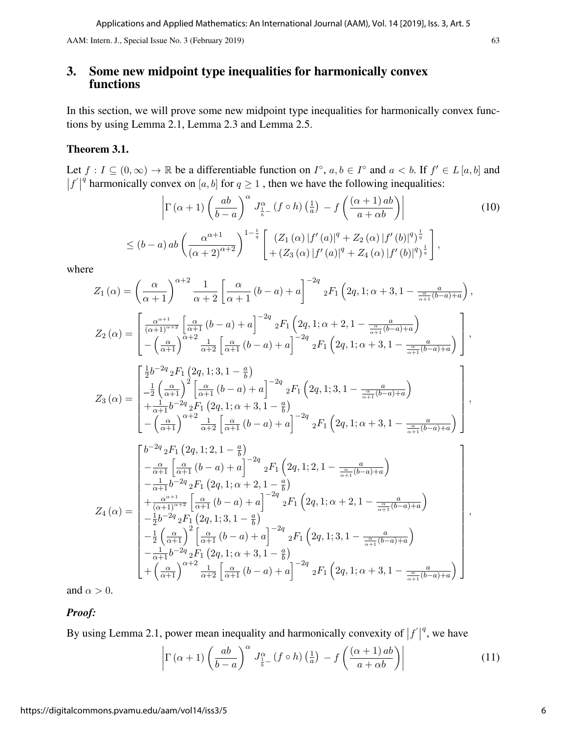# 3. Some new midpoint type inequalities for harmonically convex functions

In this section, we will prove some new midpoint type inequalities for harmonically convex functions by using Lemma 2.1, Lemma 2.3 and Lemma 2.5.

## Theorem 3.1.

Let  $f: I \subseteq (0, \infty) \to \mathbb{R}$  be a differentiable function on  $I^{\circ}$ ,  $a, b \in I^{\circ}$  and  $a < b$ . If  $f' \in L [a, b]$  and  $|f'|$ q harmonically convex on [a, b] for  $q \ge 1$ , then we have the following inequalities:

$$
\left|\Gamma\left(\alpha+1\right)\left(\frac{ab}{b-a}\right)^{\alpha}J_{\frac{1}{b}-}^{\alpha}\left(f\circ h\right)\left(\frac{1}{a}\right)-f\left(\frac{\left(\alpha+1\right)ab}{a+\alpha b}\right)\right|\n
$$
\leq (b-a) \, ab \left(\frac{\alpha^{\alpha+1}}{\left(\alpha+2\right)^{\alpha+2}}\right)^{1-\frac{1}{q}} \left[\frac{\left(Z_{1}\left(\alpha\right)|f'(a)|^{q}+Z_{2}\left(\alpha\right)|f'(b)|^{q}\right)^{\frac{1}{q}}}{+\left(Z_{3}\left(\alpha\right)|f'(a)|^{q}+Z_{4}\left(\alpha\right)|f'(b)|^{q}\right)^{\frac{1}{q}}}\right],\n\tag{10}
$$
$$

where

$$
Z_{1}(\alpha) = \left(\frac{\alpha}{\alpha+1}\right)^{\alpha+2} \frac{1}{\alpha+2} \left[\frac{\alpha}{\alpha+1} (b-a) + a\right]^{-2q} {}_{2}F_{1}\left(2q, 1; \alpha+3, 1-\frac{a}{\frac{\alpha}{\alpha+1}(b-a)+a}\right),
$$
  
\n
$$
Z_{2}(\alpha) = \begin{bmatrix} \frac{\alpha^{\alpha+1}}{(\alpha+1)^{\alpha+2}} \left[\frac{\alpha}{\alpha+1} (b-a) + a\right]^{-2q} {}_{2}F_{1}\left(2q, 1; \alpha+2, 1-\frac{a}{\frac{\alpha}{\alpha+1}(b-a)+a}\right) \\ -\left(\frac{\alpha}{\alpha+1}\right)^{\alpha+2} \frac{1}{\alpha+2} \left[\frac{\alpha}{\alpha+1} (b-a) + a\right]^{-2q} {}_{2}F_{1}\left(2q, 1; \alpha+3, 1-\frac{a}{\frac{\alpha}{\alpha+1}(b-a)+a}\right) \end{bmatrix},
$$
  
\n
$$
Z_{3}(\alpha) = \begin{bmatrix} \frac{1}{2}b^{-2q} {}_{2}F_{1}\left(2q, 1; 3, 1-\frac{a}{b}\right) \\ -\frac{1}{2} \left(\frac{\alpha}{\alpha+1}\right)^{2} \left[\frac{\alpha}{\alpha+1} (b-a) + a\right]^{-2q} {}_{2}F_{1}\left(2q, 1; 3, 1-\frac{a}{\frac{\alpha}{\alpha+1}(b-a)+a}\right) \\ -\frac{1}{\alpha+1} b^{-2q} {}_{2}F_{1}\left(2q, 1; \alpha+3, 1-\frac{a}{b}\right) \\ -\left(\frac{\alpha}{\alpha+1}\right)^{\alpha+2} \frac{1}{\alpha+2} \left[\frac{\alpha}{\alpha+1} (b-a) + a\right]^{-2q} {}_{2}F_{1}\left(2q, 1; \alpha+3, 1-\frac{a}{\frac{\alpha}{\alpha+1}(b-a)+a}\right) \end{bmatrix},
$$
  
\n
$$
\begin{bmatrix} b^{-2q} {}_{2}F_{1}\left(2q, 1; 2, 1-\frac{a}{b}\right) \\ -\frac{\alpha}{\alpha+1} \left[\frac{\alpha}{\alpha+1} (b-a) + a\right]^{-2q} {}_{2}F_{1}\left(2q, 1; 2, 1
$$

and  $\alpha > 0$ .

*Proof:*

By using Lemma 2.1, power mean inequality and harmonically convexity of  $|f|$  $q$ , we have

$$
\left| \Gamma\left(\alpha+1\right) \left( \frac{ab}{b-a} \right)^{\alpha} J_{\frac{1}{b}-}^{\alpha} \left( f \circ h \right) \left( \frac{1}{a} \right) - f \left( \frac{\left( \alpha+1\right) ab}{a+ \alpha b} \right) \right| \tag{11}
$$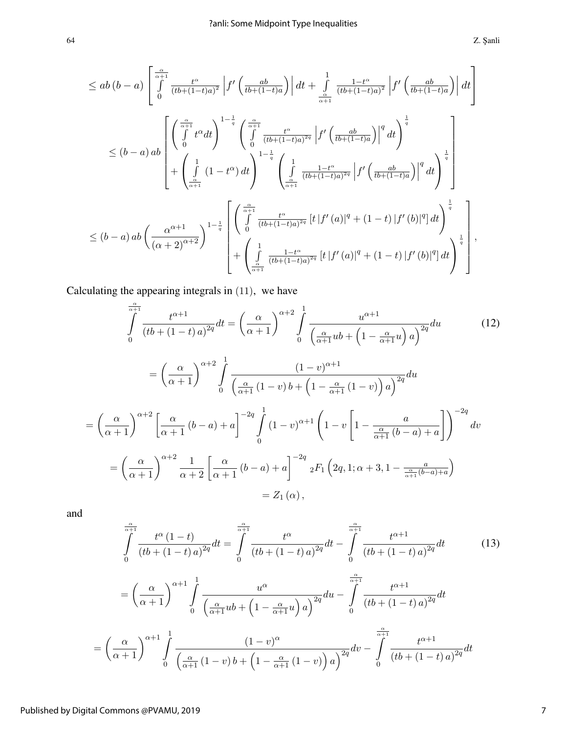$$
\leq ab(b-a)\left[\int_{0}^{\frac{\alpha}{\alpha+1}}\frac{t^{\alpha}}{(tb+(1-t)a)^{2}}\left|f'\left(\frac{ab}{tb+(1-t)a}\right)\right|dt+\int_{\frac{\alpha}{\alpha+1}}^{1}\frac{1-t^{\alpha}}{(tb+(1-t)a)^{2}}\left|f'\left(\frac{ab}{tb+(1-t)a}\right)\right|dt\right] \n\leq (b-a)ab\left[\left(\int_{0}^{\frac{\alpha}{\alpha+1}}t^{\alpha}dt\right)^{1-\frac{1}{q}}\left(\int_{0}^{\frac{\alpha}{\alpha+1}}\frac{t^{\alpha}}{(tb+(1-t)a)^{2q}}\left|f'\left(\frac{ab}{tb+(1-t)a}\right)\right|^{q}dt\right)^{\frac{1}{q}}\right] \n+\left(\int_{\frac{\alpha}{\alpha+1}}^{1}(1-t^{\alpha})dt\right)^{1-\frac{1}{q}}\left(\int_{\frac{\alpha}{\alpha+1}}^{1}\frac{1-t^{\alpha}}{(tb+(1-t)a)^{2q}}\left|f'\left(\frac{ab}{tb+(1-t)a}\right)\right|^{q}dt\right)^{\frac{1}{q}}\right] \n\leq (b-a)ab\left(\frac{\alpha^{\alpha+1}}{(\alpha+2)^{\alpha+2}}\right)^{1-\frac{1}{q}}\left[\left(\int_{0}^{\frac{\alpha}{\alpha+1}}\frac{t^{\alpha}}{(tb+(1-t)a)^{2q}}\left[t\left|f'(a)\right|^{q}+(1-t)\left|f'(b)\right|^{q}\right]dt\right)^{\frac{1}{q}}\right] \n+\left(\int_{\frac{\alpha}{\alpha+1}}^{1}\frac{1-t^{\alpha}}{(tb+(1-t)a)^{2q}}\left[t\left|f'(a)\right|^{q}+(1-t)\left|f'(b)\right|^{q}\right]dt\right)^{\frac{1}{q}}\right],
$$

Calculating the appearing integrals in (11), we have

$$
\int_{0}^{\frac{\alpha}{\alpha+1}} \frac{t^{\alpha+1}}{(tb+(1-t)a)^{2q}} dt = \left(\frac{\alpha}{\alpha+1}\right)^{\alpha+2} \int_{0}^{1} \frac{u^{\alpha+1}}{\left(\frac{\alpha}{\alpha+1}ub+\left(1-\frac{\alpha}{\alpha+1}u\right)a\right)^{2q}} du
$$
\n
$$
= \left(\frac{\alpha}{\alpha+1}\right)^{\alpha+2} \int_{0}^{1} \frac{(1-v)^{\alpha+1}}{\left(\frac{\alpha}{\alpha+1}\left(1-v\right)b+\left(1-\frac{\alpha}{\alpha+1}\left(1-v\right)\right)a\right)^{2q}} du
$$
\n
$$
= \left(\frac{\alpha}{\alpha+1}\right)^{\alpha+2} \left[\frac{\alpha}{\alpha+1}\left(b-a\right)+a\right]^{-2q} \int_{0}^{1} (1-v)^{\alpha+1} \left(1-v\left[1-\frac{a}{\frac{\alpha}{\alpha+1}\left(b-a\right)+a}\right]\right)^{-2q} dv
$$
\n
$$
= \left(\frac{\alpha}{\alpha+1}\right)^{\alpha+2} \frac{1}{\alpha+2} \left[\frac{\alpha}{\alpha+1}\left(b-a\right)+a\right]^{-2q} {}_{2}F_{1}\left(2q,1;\alpha+3,1-\frac{a}{\frac{\alpha}{\alpha+1}\left(b-a\right)+a}\right)
$$
\n
$$
= Z_{1}\left(\alpha\right),
$$
\n(12)

and

$$
\int_{0}^{\frac{\alpha}{\alpha+1}} \frac{t^{\alpha}(1-t)}{(tb+(1-t)a)^{2q}} dt = \int_{0}^{\frac{\alpha}{\alpha+1}} \frac{t^{\alpha}}{(tb+(1-t)a)^{2q}} dt - \int_{0}^{\frac{\alpha}{\alpha+1}} \frac{t^{\alpha+1}}{(tb+(1-t)a)^{2q}} dt \qquad (13)
$$

$$
= \left(\frac{\alpha}{\alpha+1}\right)^{\alpha+1} \int_{0}^{1} \frac{u^{\alpha}}{\left(\frac{\alpha}{\alpha+1}ub+\left(1-\frac{\alpha}{\alpha+1}u\right)a\right)^{2q}} du - \int_{0}^{\frac{\alpha}{\alpha+1}} \frac{t^{\alpha+1}}{(tb+(1-t)a)^{2q}} dt
$$

$$
\left(\frac{\alpha}{\alpha+1}\right)^{\alpha+1} \int_{0}^{1} \frac{(1-v)^{\alpha}}{\left(\frac{\alpha}{\alpha+1}(1-v)b+\left(1-\frac{\alpha}{\alpha+1}(1-v)\right)a\right)^{2q}} dv - \int_{0}^{\frac{\alpha}{\alpha+1}} \frac{t^{\alpha+1}}{(tb+(1-t)a)^{2q}} dt
$$

=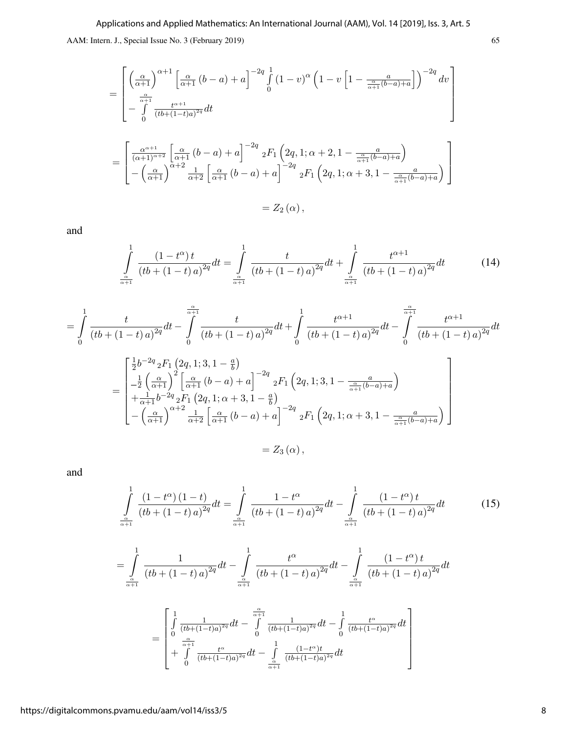$$
= \begin{bmatrix} \left(\frac{\alpha}{\alpha+1}\right)^{\alpha+1} \left[\frac{\alpha}{\alpha+1} \left(b-a\right) + a\right]^{-2q} \int_{0}^{1} (1-v)^{\alpha} \left(1-v\left[1-\frac{a}{\frac{\alpha}{\alpha+1}(b-a)+a}\right]\right)^{-2q} dv \\ -\int_{0}^{\frac{\alpha}{\alpha+1}} \frac{t^{\alpha+1}}{\left(bt+(1-t)a\right)^{2q}} dt \\ = \begin{bmatrix} \frac{\alpha^{\alpha+1}}{\left(\alpha+1\right)^{\alpha+2}} \left[\frac{\alpha}{\alpha+1} \left(b-a\right) + a\right]^{-2q} \left[2F_1\left(2q,1;\alpha+2,1-\frac{a}{\frac{\alpha}{\alpha+1}(b-a)+a}\right) \\ -\left(\frac{\alpha}{\alpha+1}\right)^{\alpha+2} \frac{1}{\alpha+2} \left[\frac{\alpha}{\alpha+1} \left(b-a\right) + a\right]^{-2q} \left[2F_1\left(2q,1;\alpha+3,1-\frac{a}{\frac{\alpha}{\alpha+1}(b-a)+a}\right) \right] \\ = Z_2(\alpha), \end{bmatrix}
$$

and

$$
\int_{\frac{\alpha}{\alpha+1}}^{1} \frac{(1-t^{\alpha})t}{(tb+(1-t)a)^{2q}} dt = \int_{\frac{\alpha}{\alpha+1}}^{1} \frac{t}{(tb+(1-t)a)^{2q}} dt + \int_{\frac{\alpha}{\alpha+1}}^{1} \frac{t^{\alpha+1}}{(tb+(1-t)a)^{2q}} dt \tag{14}
$$

$$
= \int_{0}^{1} \frac{t}{(tb + (1-t)a)^{2q}} dt - \int_{0}^{\frac{\alpha}{\alpha+1}} \frac{t}{(tb + (1-t)a)^{2q}} dt + \int_{0}^{1} \frac{t^{\alpha+1}}{(tb + (1-t)a)^{2q}} dt - \int_{0}^{\frac{\alpha}{\alpha+1}} \frac{t^{\alpha+1}}{(tb + (1-t)a)^{2q}} dt
$$

$$
= \begin{bmatrix} \frac{1}{2}b^{-2q} {}_{2}F_{1} (2q, 1; 3, 1-\frac{a}{b}) \\ -\frac{1}{2} \left(\frac{\alpha}{\alpha+1}\right)^{2} \left[\frac{\alpha}{\alpha+1} (b-a) + a\right]^{-2q} {}_{2}F_{1} (2q, 1; 3, 1-\frac{\alpha}{\alpha+1}(b-a)+a) \\ +\frac{1}{\alpha+1}b^{-2q} {}_{2}F_{1} (2q, 1; \alpha+3, 1-\frac{a}{b}) \\ -\left(\frac{\alpha}{\alpha+1}\right)^{\alpha+2} \frac{1}{\alpha+2} \left[\frac{\alpha}{\alpha+1} (b-a) + a\right]^{-2q} {}_{2}F_{1} (2q, 1; \alpha+3, 1-\frac{a}{\alpha+1}(b-a)+a) \end{bmatrix}
$$

$$
= Z_{3} (\alpha),
$$

and

$$
\int_{\frac{\alpha}{\alpha+1}}^{1} \frac{(1-t^{\alpha})(1-t)}{(tb+(1-t)a)^{2q}} dt = \int_{\frac{\alpha}{\alpha+1}}^{1} \frac{1-t^{\alpha}}{(tb+(1-t)a)^{2q}} dt - \int_{\frac{\alpha}{\alpha+1}}^{1} \frac{(1-t^{\alpha})t}{(tb+(1-t)a)^{2q}} dt
$$
(15)

$$
= \int_{\frac{\alpha}{\alpha+1}}^1 \frac{1}{(tb + (1-t)a)^{2q}} dt - \int_{\frac{\alpha}{\alpha+1}}^1 \frac{t^{\alpha}}{(tb + (1-t)a)^{2q}} dt - \int_{\frac{\alpha}{\alpha+1}}^1 \frac{(1-t^{\alpha})t}{(tb + (1-t)a)^{2q}} dt
$$

$$
= \begin{bmatrix} \int_{0}^{1} \frac{1}{(tb + (1-t)a)^{2q}} dt - \int_{0}^{\frac{\alpha}{\alpha+1}} \frac{1}{(tb + (1-t)a)^{2q}} dt - \int_{0}^{1} \frac{t^{\alpha}}{(tb + (1-t)a)^{2q}} dt \\ + \int_{0}^{\frac{\alpha}{\alpha+1}} \frac{t^{\alpha}}{(tb + (1-t)a)^{2q}} dt - \int_{\frac{\alpha}{\alpha+1}}^1 \frac{(1-t^{\alpha})t}{(tb + (1-t)a)^{2q}} dt \end{bmatrix}
$$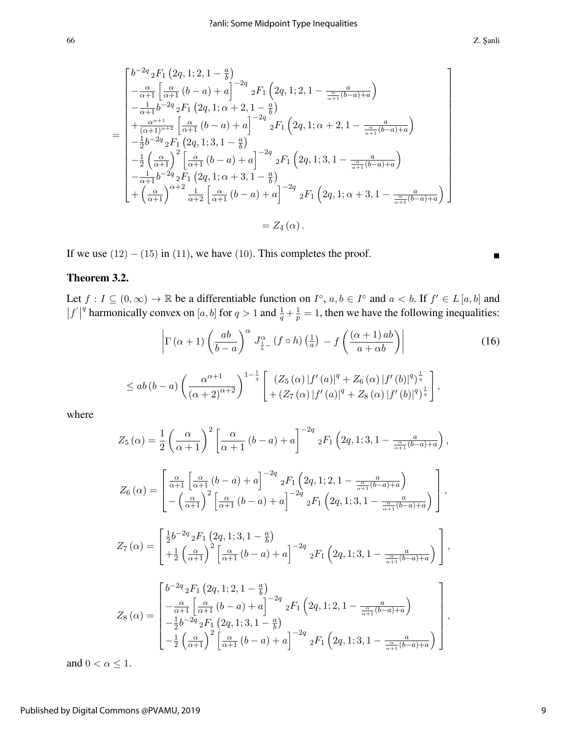$$
\begin{bmatrix}\nb^{-2q} {}_{2}F_{1} (2q, 1; 2, 1 - \frac{a}{b}) \\
-\frac{\alpha}{\alpha + 1} \left[ \frac{\alpha}{\alpha + 1} (b - a) + a \right]^{-2q} {}_{2}F_{1} (2q, 1; 2, 1 - \frac{a}{\frac{\alpha}{\alpha + 1}(b - a) + a}) \\
-\frac{1}{\alpha + 1} b^{-2q} {}_{2}F_{1} (2q, 1; \alpha + 2, 1 - \frac{a}{b}) \\
+\frac{\alpha^{\alpha + 1}}{(\alpha + 1)^{\alpha + 2}} \left[ \frac{\alpha}{\alpha + 1} (b - a) + a \right]^{-2q} {}_{2}F_{1} (2q, 1; \alpha + 2, 1 - \frac{a}{\frac{\alpha}{\alpha + 1}(b - a) + a}) \\
-\frac{1}{2} b^{-2q} {}_{2}F_{1} (2q, 1; 3, 1 - \frac{a}{b}) \\
-\frac{1}{2} \left( \frac{\alpha}{\alpha + 1} \right)^{2} \left[ \frac{\alpha}{\alpha + 1} (b - a) + a \right]^{-2q} {}_{2}F_{1} (2q, 1; 3, 1 - \frac{a}{\frac{\alpha}{\alpha + 1}(b - a) + a}) \\
-\frac{1}{\alpha + 1} b^{-2q} {}_{2}F_{1} (2q, 1; \alpha + 3, 1 - \frac{a}{b}) \\
+\left( \frac{\alpha}{\alpha + 1} \right)^{\alpha + 2} \frac{1}{\alpha + 2} \left[ \frac{\alpha}{\alpha + 1} (b - a) + a \right]^{-2q} {}_{2}F_{1} (2q, 1; \alpha + 3, 1 - \frac{a}{\frac{\alpha}{\alpha + 1}(b - a) + a})\n\end{bmatrix} = Z_{4}(\alpha).
$$

If we use  $(12) - (15)$  in  $(11)$ , we have  $(10)$ . This completes the proof.

### Theorem 3.2.

Let  $f: I \subseteq (0, \infty) \to \mathbb{R}$  be a differentiable function on  $I^{\circ}$ ,  $a, b \in I^{\circ}$  and  $a < b$ . If  $f' \in L [a, b]$  and  $|f'|$ <sup>q</sup> harmonically convex on [a, b] for  $q > 1$  and  $\frac{1}{q} + \frac{1}{p}$  $\frac{1}{p} = 1$ , then we have the following inequalities:

$$
\left|\Gamma\left(\alpha+1\right)\left(\frac{ab}{b-a}\right)^{\alpha}J_{\frac{1}{b}-}^{\alpha}\left(f\circ h\right)\left(\frac{1}{a}\right)-f\left(\frac{\left(\alpha+1\right)ab}{a+\alpha b}\right)\right|\n
$$
\leq ab\left(b-a\right)\left(\frac{\alpha^{\alpha+1}}{\left(\alpha+2\right)^{\alpha+2}}\right)^{1-\frac{1}{q}}\left[\frac{\left(Z_{5}\left(\alpha\right)|f'(a)|^{q}+Z_{6}\left(\alpha\right)|f'(b)|^{q}\right)^{\frac{1}{q}}}{+\left(Z_{7}\left(\alpha\right)|f'(a)|^{q}+Z_{8}\left(\alpha\right)|f'(b)|^{q}\right)^{\frac{1}{q}}}\right],\n\tag{16}
$$
$$

where

$$
Z_{5} (\alpha) = \frac{1}{2} \left( \frac{\alpha}{\alpha + 1} \right)^{2} \left[ \frac{\alpha}{\alpha + 1} (b - a) + a \right]^{-2q} {}_{2}F_{1} (2q, 1; 3, 1 - \frac{a}{\frac{\alpha}{\alpha + 1}(b - a) + a}),
$$
  
\n
$$
Z_{6} (\alpha) = \left[ \frac{\frac{\alpha}{\alpha + 1} \left[ \frac{\alpha}{\alpha + 1} (b - a) + a \right]^{-2q} {}_{2}F_{1} (2q, 1; 2, 1 - \frac{a}{\frac{\alpha}{\alpha + 1}(b - a) + a}) - \left( \frac{\alpha}{\alpha + 1} \right)^{2} \left[ \frac{\alpha}{\alpha + 1} (b - a) + a \right]^{-2q} {}_{2}F_{1} (2q, 1; 3, 1 - \frac{a}{\frac{\alpha}{\alpha + 1}(b - a) + a}) \right],
$$
  
\n
$$
Z_{7} (\alpha) = \left[ \frac{1}{2} b^{-2q} {}_{2}F_{1} (2q, 1; 3, 1 - \frac{a}{b}) + \frac{1}{2} \left( \frac{\alpha}{\alpha + 1} \right)^{2} \left[ \frac{\alpha}{\alpha + 1} (b - a) + a \right]^{-2q} {}_{2}F_{1} (2q, 1; 3, 1 - \frac{a}{\frac{\alpha}{\alpha + 1}(b - a) + a}) \right],
$$
  
\n
$$
Z_{8} (\alpha) = \begin{bmatrix} b^{-2q} {}_{2}F_{1} (2q, 1; 2, 1 - \frac{a}{b}) - \frac{\alpha}{\alpha + 1} \left[ \frac{\alpha}{\alpha + 1} (b - a) + a \right]^{-2q} {}_{2}F_{1} (2q, 1; 2, 1 - \frac{a}{\frac{\alpha}{\alpha + 1}(b - a) + a}) - \frac{1}{2} b^{-2q} {}_{2}F_{1} (2q, 1; 3, 1 - \frac{a}{b}) - \frac{1}{2} b^{-2q} {}_{2}F_{1} (2q, 1; 3, 1 - \frac{a}{b}) \end{bmatrix},
$$

 $\frac{1}{2}\left(\frac{\alpha}{\alpha+1}\right)^2\left[\frac{\alpha}{\alpha+1}\left(b-a\right)+a\right]^{-2q}{}_2F_1\left(2q,1;3,1-\frac{a}{\frac{\alpha}{\alpha+1}\left(b-a\right)+a}\right]$ 

and  $0 < \alpha \leq 1$ .

 $-\frac{1}{2}$ 

 $\setminus$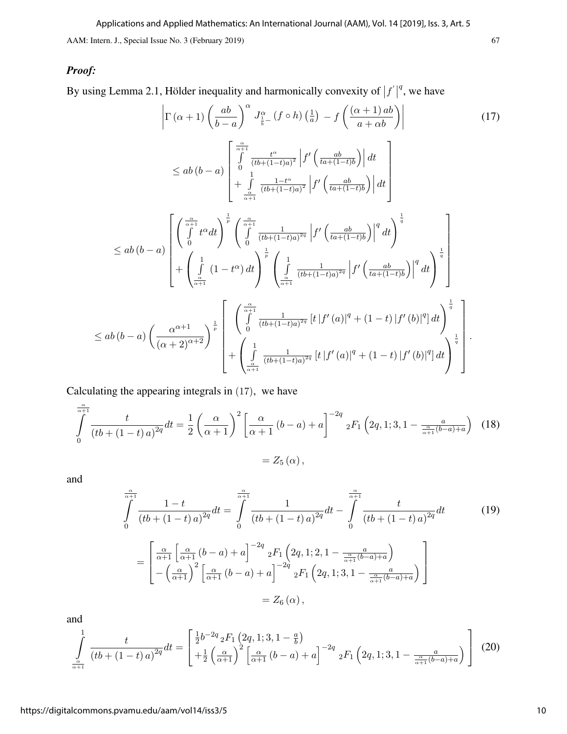# *Proof:*

By using Lemma 2.1, Hölder inequality and harmonically convexity of  $|f'|$  $q$ , we have

$$
\left|\Gamma\left(\alpha+1\right)\left(\frac{ab}{b-a}\right)^{\alpha}J_{\frac{1}{b}-}^{\alpha}\left(f\circ h\right)\left(\frac{1}{a}\right)-f\left(\frac{\alpha+1}{a+ab}\right)\right|\right|
$$
\n
$$
\leq ab\left(b-a\right)\left[\int_{0}^{\frac{\alpha}{\alpha+1}}\frac{t^{\alpha}}{(tb+(1-t)a)^{2}}\left|f'\left(\frac{ab}{ta+(1-t)b}\right)\right|dt\right]
$$
\n
$$
\leq ab\left(b-a\right)\left[\left(\int_{0}^{\frac{\alpha}{\alpha+1}}t^{\alpha}dt\right)^{\frac{1}{p}}\left(\int_{0}^{\frac{\alpha}{\alpha+1}}\frac{1-t^{\alpha}}{(tb+(1-t)a)^{2q}}\left|f'\left(\frac{ab}{ta+(1-t)b}\right)\right|^{q}dt\right]
$$
\n
$$
\leq ab\left(b-a\right)\left[\left(\int_{0}^{\frac{\alpha}{\alpha+1}}t^{\alpha}dt\right)^{\frac{1}{p}}\left(\int_{0}^{\frac{\alpha}{\alpha+1}}\frac{1}{(tb+(1-t)a)^{2q}}\left|f'\left(\frac{ab}{ta+(1-t)b}\right)\right|^{q}dt\right)^{\frac{1}{q}}
$$
\n
$$
+ \left(\int_{\frac{\alpha}{\alpha+1}}^{1}(1-t^{\alpha})dt\right)^{\frac{1}{p}}\left(\int_{\frac{\alpha}{\alpha+1}}^{1}\frac{1}{(tb+(1-t)a)^{2q}}\left|f'\left(\frac{ab}{ta+(1-t)b}\right)\right|^{q}dt\right)^{\frac{1}{q}}
$$
\n
$$
\leq ab\left(b-a\right)\left(\frac{\alpha^{\alpha+1}}{(\alpha+2)^{\alpha+2}}\right)^{\frac{1}{p}}\left[\left(\int_{0}^{\frac{\alpha}{\alpha+1}}\frac{1}{(tb+(1-t)a)^{2q}}\left[t\left|f'(a)\right|^{q}+(1-t)\left|f'(b)\right|^{q}\right]dt\right)^{\frac{1}{q}}\right].
$$

Calculating the appearing integrals in (17), we have

$$
\int_{0}^{\frac{\alpha}{\alpha+1}} \frac{t}{(tb + (1-t)a)^{2q}} dt = \frac{1}{2} \left( \frac{\alpha}{\alpha+1} \right)^2 \left[ \frac{\alpha}{\alpha+1} (b-a) + a \right]^{-2q} {}_{2}F_1 \left( 2q, 1; 3, 1 - \frac{a}{\frac{\alpha}{\alpha+1} (b-a) + a} \right)
$$
(18)  
= Z<sub>5</sub> (\alpha),

and

$$
\int_{0}^{\frac{\alpha}{\alpha+1}} \frac{1-t}{(tb + (1-t)a)^{2q}} dt = \int_{0}^{\frac{\alpha}{\alpha+1}} \frac{1}{(tb + (1-t)a)^{2q}} dt - \int_{0}^{\frac{\alpha}{\alpha+1}} \frac{t}{(tb + (1-t)a)^{2q}} dt
$$
(19)  

$$
= \left[ \frac{\alpha}{\alpha+1} \left[ \frac{\alpha}{\alpha+1} (b-a) + a \right]^{-2q} {}_{2}F_{1} \left( 2q, 1; 2, 1 - \frac{a}{\frac{\alpha}{\alpha+1} (b-a) + a} \right) - \left( \frac{\alpha}{\alpha+1} \right)^{2} \left[ \frac{\alpha}{\alpha+1} (b-a) + a \right]^{-2q} {}_{2}F_{1} \left( 2q, 1; 3, 1 - \frac{a}{\frac{\alpha}{\alpha+1} (b-a) + a} \right) \right]
$$

$$
= Z_{6} (\alpha),
$$

and

$$
\int_{\frac{\alpha}{\alpha+1}}^{1} \frac{t}{(tb + (1-t)a)^{2q}} dt = \begin{bmatrix} \frac{1}{2}b^{-2q} {}_{2}F_{1} \left(2q, 1; 3, 1-\frac{a}{b}\right) \\ +\frac{1}{2} \left(\frac{\alpha}{\alpha+1}\right)^{2} \left[\frac{\alpha}{\alpha+1} \left(b-a\right)+a\right]^{-2q} {}_{2}F_{1} \left(2q, 1; 3, 1-\frac{a}{\frac{\alpha}{\alpha+1}(b-a)+a}\right) \end{bmatrix} (20)
$$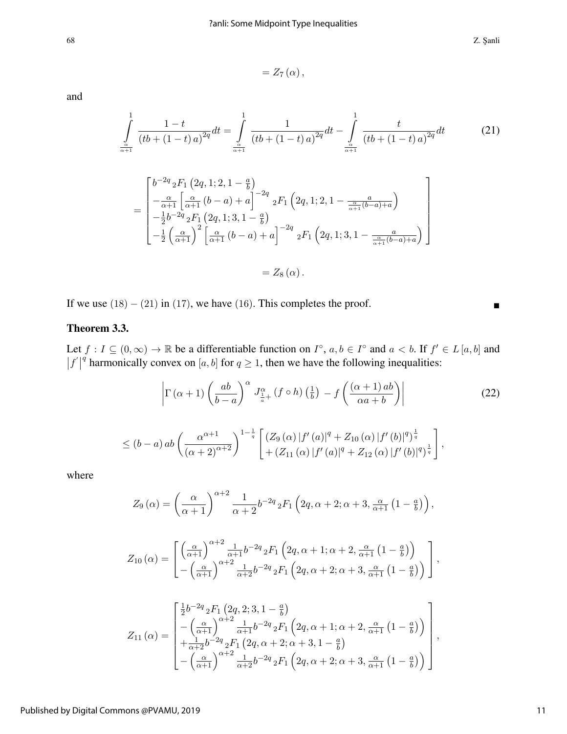68 Z. ¸Sanli

$$
=Z_{7}\left( \alpha\right) ,
$$

and

$$
\int_{\frac{\alpha}{\alpha+1}}^{1} \frac{1-t}{(tb + (1-t)a)^{2q}} dt = \int_{\frac{\alpha}{\alpha+1}}^{1} \frac{1}{(tb + (1-t)a)^{2q}} dt - \int_{\frac{\alpha}{\alpha+1}}^{1} \frac{t}{(tb + (1-t)a)^{2q}} dt \tag{21}
$$

$$
= \begin{bmatrix} b^{-2q} {}_2F_1 \left(2q, 1; 2, 1-\frac{a}{b}\right) \\ -\frac{\alpha}{\alpha+1} \left[ \frac{\alpha}{\alpha+1} \left( b-a \right) + a \right]^{-2q} {}_2F_1 \left(2q, 1; 2, 1-\frac{a}{\frac{\alpha}{\alpha+1}(b-a)+a}\right) \\ -\frac{1}{2} b^{-2q} {}_2F_1 \left(2q, 1; 3, 1-\frac{a}{b}\right) \\ -\frac{1}{2} \left( \frac{\alpha}{\alpha+1} \right)^2 \left[ \frac{\alpha}{\alpha+1} \left( b-a \right) + a \right]^{-2q} {}_2F_1 \left(2q, 1; 3, 1-\frac{a}{\frac{\alpha}{\alpha+1}(b-a)+a}\right) \end{bmatrix}
$$

$$
=Z_{8}\left( \alpha\right) .
$$

If we use  $(18) - (21)$  in  $(17)$ , we have  $(16)$ . This completes the proof.

# Theorem 3.3.

Let  $f: I \subseteq (0, \infty) \to \mathbb{R}$  be a differentiable function on  $I^{\circ}$ ,  $a, b \in I^{\circ}$  and  $a < b$ . If  $f' \in L [a, b]$  and  $|f'|$ <sup>q</sup> harmonically convex on [a, b] for  $q \ge 1$ , then we have the following inequalities:

$$
\left|\Gamma\left(\alpha+1\right)\left(\frac{ab}{b-a}\right)^{\alpha}J_{\frac{1}{a}+}^{\alpha}(f\circ h)\left(\frac{1}{b}\right)-f\left(\frac{\left(\alpha+1\right)ab}{\alpha a+b}\right)\right|\n
$$
\leq (b-a) \, ab \left(\frac{\alpha^{\alpha+1}}{(\alpha+2)^{\alpha+2}}\right)^{1-\frac{1}{q}} \left[\frac{\left(Z_9\left(\alpha\right)|f'(a)|^q + Z_{10}\left(\alpha\right)|f'(b)|^q\right)^{\frac{1}{q}}}{\left[+\left(Z_{11}\left(\alpha\right)|f'(a)|^q + Z_{12}\left(\alpha\right)|f'(b)|^q\right)^{\frac{1}{q}}}\right],\n\tag{22}
$$
$$

where

$$
Z_9(\alpha) = \left(\frac{\alpha}{\alpha+1}\right)^{\alpha+2} \frac{1}{\alpha+2} b^{-2q} {}_2F_1\left(2q,\alpha+2;\alpha+3,\frac{\alpha}{\alpha+1}\left(1-\frac{a}{b}\right)\right),
$$

$$
Z_{10}\left(\alpha\right) = \begin{bmatrix} \left(\frac{\alpha}{\alpha+1}\right)^{\alpha+2} \frac{1}{\alpha+1} b^{-2q} {}_{2}F_{1}\left(2q,\alpha+1;\alpha+2,\frac{\alpha}{\alpha+1}\left(1-\frac{a}{b}\right)\right) \\ -\left(\frac{\alpha}{\alpha+1}\right)^{\alpha+2} \frac{1}{\alpha+2} b^{-2q} {}_{2}F_{1}\left(2q,\alpha+2;\alpha+3,\frac{\alpha}{\alpha+1}\left(1-\frac{a}{b}\right)\right) \end{bmatrix},
$$

$$
Z_{11}(\alpha) = \begin{bmatrix} \frac{1}{2}b^{-2q} {}_{2}F_{1} (2q, 2; 3, 1 - \frac{a}{b}) \\ -\left(\frac{\alpha}{\alpha+1}\right)^{\alpha+2} \frac{1}{\alpha+1}b^{-2q} {}_{2}F_{1} (2q, \alpha+1; \alpha+2, \frac{\alpha}{\alpha+1} (1 - \frac{a}{b})) \\ +\frac{1}{\alpha+2}b^{-2q} {}_{2}F_{1} (2q, \alpha+2; \alpha+3, 1 - \frac{a}{b}) \\ -\left(\frac{\alpha}{\alpha+1}\right)^{\alpha+2} \frac{1}{\alpha+2}b^{-2q} {}_{2}F_{1} (2q, \alpha+2; \alpha+3, \frac{\alpha}{\alpha+1} (1 - \frac{a}{b})) \end{bmatrix}
$$

,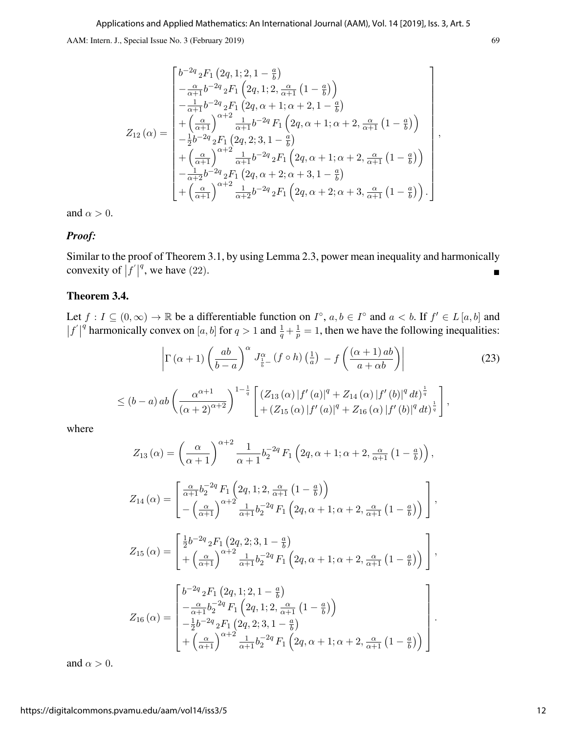$$
Z_{12}(\alpha) = \begin{bmatrix} b^{-2q} {}_{2}F_{1} (2q, 1; 2, 1 - \frac{a}{b}) \\ -\frac{\alpha}{\alpha+1} b^{-2q} {}_{2}F_{1} (2q, 1; 2, \frac{\alpha}{\alpha+1} (1 - \frac{a}{b})) \\ -\frac{1}{\alpha+1} b^{-2q} {}_{2}F_{1} (2q, \alpha + 1; \alpha + 2, 1 - \frac{a}{b}) \\ +(\frac{\alpha}{\alpha+1})^{\alpha+2} \frac{1}{\alpha+1} b^{-2q} F_{1} (2q, \alpha + 1; \alpha + 2, \frac{\alpha}{\alpha+1} (1 - \frac{a}{b})) \\ -\frac{1}{2} b^{-2q} {}_{2}F_{1} (2q, 2; 3, 1 - \frac{a}{b}) \\ +(\frac{\alpha}{\alpha+1})^{\alpha+2} \frac{1}{\alpha+1} b^{-2q} {}_{2}F_{1} (2q, \alpha + 1; \alpha + 2, \frac{\alpha}{\alpha+1} (1 - \frac{a}{b})) \\ -\frac{1}{\alpha+2} b^{-2q} {}_{2}F_{1} (2q, \alpha + 2; \alpha + 3, 1 - \frac{a}{b}) \\ +(\frac{\alpha}{\alpha+1})^{\alpha+2} \frac{1}{\alpha+2} b^{-2q} {}_{2}F_{1} (2q, \alpha + 2; \alpha + 3, \frac{\alpha}{\alpha+1} (1 - \frac{a}{b})) \end{bmatrix}
$$

and  $\alpha > 0$ .

#### *Proof:*

Similar to the proof of Theorem 3.1, by using Lemma 2.3, power mean inequality and harmonically convexity of  $|f|$ <sup>q</sup>, we have (22).

#### Theorem 3.4.

Let  $f: I \subseteq (0, \infty) \to \mathbb{R}$  be a differentiable function on  $I^{\circ}$ ,  $a, b \in I^{\circ}$  and  $a < b$ . If  $f' \in L[a, b]$  and  $|f'|$ <sup>q</sup> harmonically convex on [a, b] for  $q > 1$  and  $\frac{1}{q} + \frac{1}{p}$  $\frac{1}{p} = 1$ , then we have the following inequalities:

$$
\left| \Gamma\left(\alpha+1\right) \left(\frac{ab}{b-a}\right)^{\alpha} J_{\frac{1}{b}-}^{\alpha}(f \circ h) \left(\frac{1}{a}\right) - f\left(\frac{\left(\alpha+1\right)ab}{a+\alpha b}\right) \right|
$$
\n
$$
\leq (b-a) \, ab \left(\frac{\alpha^{\alpha+1}}{(\alpha+2)^{\alpha+2}}\right)^{1-\frac{1}{q}} \left[ \left(Z_{13}\left(\alpha\right) | f'(a)|^q + Z_{14}\left(\alpha\right) | f'(b)|^q \, dt \right)^{\frac{1}{q}} \right],
$$
\n
$$
\left[ \left(Z_{15}\left(\alpha\right) | f'(a)|^q + Z_{16}\left(\alpha\right) | f'(b)|^q \, dt \right)^{\frac{1}{q}} \right],
$$
\n
$$
(23)
$$

where

$$
Z_{13} (\alpha) = \left(\frac{\alpha}{\alpha+1}\right)^{\alpha+2} \frac{1}{\alpha+1} b_2^{-2q} F_1 \left(2q, \alpha+1; \alpha+2, \frac{\alpha}{\alpha+1} \left(1-\frac{a}{b}\right)\right),
$$
  
\n
$$
Z_{14} (\alpha) = \left[\frac{\frac{\alpha}{\alpha+1} b_2^{-2q} F_1 \left(2q, 1; 2, \frac{\alpha}{\alpha+1} \left(1-\frac{a}{b}\right)\right)}{-\left(\frac{\alpha}{\alpha+1}\right)^{\alpha+2} \frac{1}{\alpha+1} b_2^{-2q} F_1 \left(2q, \alpha+1; \alpha+2, \frac{\alpha}{\alpha+1} \left(1-\frac{a}{b}\right)\right)}\right],
$$
  
\n
$$
Z_{15} (\alpha) = \left[\frac{\frac{1}{2} b^{-2q} {}_2F_1 \left(2q, 2; 3, 1-\frac{a}{b}\right)}{+\left(\frac{\alpha}{\alpha+1}\right)^{\alpha+2} \frac{1}{\alpha+1} b_2^{-2q} F_1 \left(2q, \alpha+1; \alpha+2, \frac{\alpha}{\alpha+1} \left(1-\frac{a}{b}\right)\right)}\right],
$$
  
\n
$$
Z_{16} (\alpha) = \left[\frac{b^{-2q} {}_2F_1 \left(2q, 1; 2, 1-\frac{a}{b}\right)}{-\frac{\alpha}{\alpha+1} b_2^{-2q} F_1 \left(2q, 1; 2, \frac{\alpha}{\alpha+1} \left(1-\frac{a}{b}\right)\right)}{-\frac{1}{2} b^{-2q} {}_2F_1 \left(2q, 2; 3, 1-\frac{a}{b}\right)} + \left(\frac{\alpha}{\alpha+1}\right)^{\alpha+2} \frac{1}{\alpha+1} b_2^{-2q} F_1 \left(2q, \alpha+1; \alpha+2, \frac{\alpha}{\alpha+1} \left(1-\frac{a}{b}\right)\right)}\right].
$$

and  $\alpha > 0$ .

,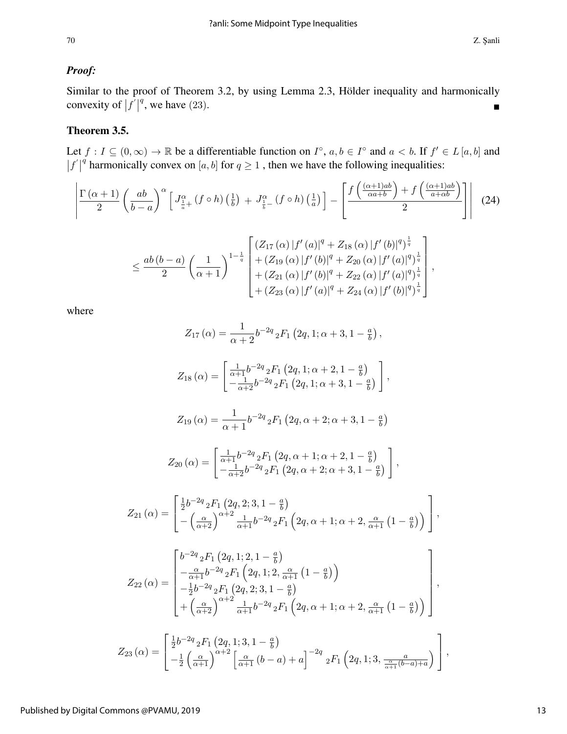## *Proof:*

Similar to the proof of Theorem 3.2, by using Lemma 2.3, Hölder inequality and harmonically convexity of  $|f|$ <sup>q</sup>, we have (23).

## Theorem 3.5.

Let  $f: I \subseteq (0, \infty) \to \mathbb{R}$  be a differentiable function on  $I^{\circ}$ ,  $a, b \in I^{\circ}$  and  $a < b$ . If  $f' \in L [a, b]$  and  $|f'|$ q harmonically convex on [a, b] for  $q \ge 1$ , then we have the following inequalities:

$$
\frac{\left|\Gamma\left(\alpha+1\right)}{2}\left(\frac{ab}{b-a}\right)^{\alpha}\left[J_{\frac{1}{a}+}^{\alpha}\left(f\circ h\right)\left(\frac{1}{b}\right)+J_{\frac{1}{b}-}^{\alpha}\left(f\circ h\right)\left(\frac{1}{a}\right)\right]-\left[\frac{f\left(\frac{(\alpha+1)ab}{\alpha a+b}\right)+f\left(\frac{(\alpha+1)ab}{a+\alpha b}\right)}{2}\right]\right| (24)
$$
\n
$$
\leq \frac{ab\left(b-a\right)}{2}\left(\frac{1}{\alpha+1}\right)^{1-\frac{1}{q}}\left[\frac{\left(Z_{17}\left(\alpha\right)|f'(a)|^{q}+Z_{18}\left(\alpha\right)|f'(b)|^{q}\right)^{\frac{1}{q}}}{+\left(Z_{19}\left(\alpha\right)|f'(b)|^{q}+Z_{20}\left(\alpha\right)|f'(a)|^{q}\right)^{\frac{1}{q}}}\right]+(Z_{21}\left(\alpha\right)|f'(b)|^{q}+Z_{22}\left(\alpha\right)|f'(a)|^{q}\right)^{\frac{1}{q}}}{+\left(Z_{23}\left(\alpha\right)|f'(a)|^{q}+Z_{24}\left(\alpha\right)|f'(b)|^{q}\right)^{\frac{1}{q}}}\right],
$$

where

$$
Z_{17} (\alpha) = \frac{1}{\alpha + 2} b^{-2q} {}_2F_1 (2q, 1; \alpha + 3, 1 - \frac{a}{b}),
$$

$$
Z_{18} (\alpha) = \begin{bmatrix} \frac{1}{\alpha+1} b^{-2q} {}_{2}F_{1} (2q, 1; \alpha+2, 1-\frac{a}{b}) \\ -\frac{1}{\alpha+2} b^{-2q} {}_{2}F_{1} (2q, 1; \alpha+3, 1-\frac{a}{b}) \end{bmatrix},
$$

$$
Z_{19}\left(\alpha\right) = \frac{1}{\alpha+1}b^{-2q} {}_2F_1\left(2q,\alpha+2;\alpha+3,1-\frac{a}{b}\right)
$$

$$
Z_{20}\left(\alpha\right) = \begin{bmatrix} \frac{1}{\alpha+1}b^{-2q} {}_{2}F_{1}\left(2q,\alpha+1;\alpha+2,1-\frac{a}{b}\right) \\ -\frac{1}{\alpha+2}b^{-2q} {}_{2}F_{1}\left(2q,\alpha+2;\alpha+3,1-\frac{a}{b}\right) \end{bmatrix},
$$

$$
Z_{21} (\alpha) = \begin{bmatrix} \frac{1}{2} b^{-2q} {}_{2}F_{1} (2q, 2; 3, 1 - \frac{a}{b}) \\ - \left(\frac{\alpha}{\alpha + 2}\right)^{\alpha + 2} \frac{1}{\alpha + 1} b^{-2q} {}_{2}F_{1} (2q, \alpha + 1; \alpha + 2, \frac{\alpha}{\alpha + 1} (1 - \frac{a}{b})) \end{bmatrix},
$$

$$
Z_{22}(\alpha) = \begin{bmatrix} b^{-2q} {}_{2}F_{1} (2q, 1; 2, 1 - \frac{a}{b}) \\ -\frac{\alpha}{\alpha+1} b^{-2q} {}_{2}F_{1} (2q, 1; 2, \frac{\alpha}{\alpha+1} (1 - \frac{a}{b})) \\ -\frac{1}{2} b^{-2q} {}_{2}F_{1} (2q, 2; 3, 1 - \frac{a}{b}) \\ +(\frac{\alpha}{\alpha+2})^{\alpha+2} \frac{1}{\alpha+1} b^{-2q} {}_{2}F_{1} (2q, \alpha+1; \alpha+2, \frac{\alpha}{\alpha+1} (1 - \frac{a}{b})) \end{bmatrix},
$$

$$
Z_{23}(\alpha) = \begin{bmatrix} \frac{1}{2}b^{-2q} {}_{2}F_{1} (2q, 1; 3, 1 - \frac{a}{b}) \\ -\frac{1}{2} (\frac{\alpha}{\alpha + 1})^{\alpha + 2} \left[ \frac{\alpha}{\alpha + 1} (b - a) + a \right]^{-2q} {}_{2}F_{1} (2q, 1; 3, \frac{a}{\frac{\alpha}{\alpha + 1} (b - a) + a}) \end{bmatrix},
$$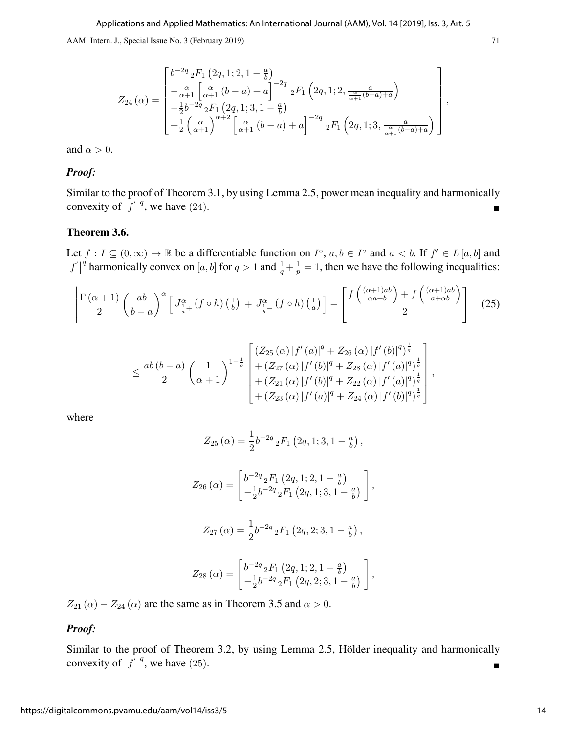$$
Z_{24}(\alpha) = \begin{bmatrix} b^{-2q} {}_{2}F_{1} (2q, 1; 2, 1 - \frac{a}{b}) \\ -\frac{\alpha}{\alpha+1} \left[ \frac{\alpha}{\alpha+1} (b-a) + a \right]^{-2q} {}_{2}F_{1} (2q, 1; 2, \frac{a}{\frac{\alpha}{\alpha+1} (b-a)+a}) \\ -\frac{1}{2} b^{-2q} {}_{2}F_{1} (2q, 1; 3, 1 - \frac{a}{b}) \\ +\frac{1}{2} \left( \frac{\alpha}{\alpha+1} \right)^{\alpha+2} \left[ \frac{\alpha}{\alpha+1} (b-a) + a \right]^{-2q} {}_{2}F_{1} (2q, 1; 3, \frac{a}{\frac{\alpha}{\alpha+1} (b-a)+a}) \end{bmatrix}
$$

,

and  $\alpha > 0$ .

### *Proof:*

Similar to the proof of Theorem 3.1, by using Lemma 2.5, power mean inequality and harmonically convexity of  $|f|$ <sup>q</sup>, we have (24).

#### Theorem 3.6.

Let  $f: I \subseteq (0, \infty) \to \mathbb{R}$  be a differentiable function on  $I^{\circ}$ ,  $a, b \in I^{\circ}$  and  $a < b$ . If  $f' \in L [a, b]$  and  $|f'|$ q harmonically convex on [a, b] for  $q > 1$  and  $\frac{1}{q} + \frac{1}{p}$  $\frac{1}{p} = 1$ , then we have the following inequalities:

$$
\frac{\Gamma(\alpha+1)}{2} \left( \frac{ab}{b-a} \right)^{\alpha} \left[ J_{\frac{1}{a}+}^{\alpha} (f \circ h) \left( \frac{1}{b} \right) + J_{\frac{1}{b}-}^{\alpha} (f \circ h) \left( \frac{1}{a} \right) \right] - \left[ \frac{f \left( \frac{(\alpha+1)ab}{\alpha a+b} \right) + f \left( \frac{(\alpha+1)ab}{a+\alpha b} \right)}{2} \right] \right] (25)
$$
\n
$$
\leq \frac{ab (b-a)}{2} \left( \frac{1}{\alpha+1} \right)^{1-\frac{1}{q}} \left[ \frac{(Z_{25} (\alpha) |f'(a)|^q + Z_{26} (\alpha) |f'(b)|^q)^{\frac{1}{q}}}{+ (Z_{27} (\alpha) |f'(b)|^q + Z_{28} (\alpha) |f'(a)|^q)^{\frac{1}{q}} + (Z_{21} (\alpha) |f'(b)|^q + Z_{22} (\alpha) |f'(a)|^q)^{\frac{1}{q}} \right] + (Z_{23} (\alpha) |f'(a)|^q + Z_{24} (\alpha) |f'(b)|^q + Z_{24} (\alpha) |f'(b)|^q)^{\frac{1}{q}} \right],
$$

where

$$
Z_{25} (\alpha) = \frac{1}{2} b^{-2q} {}_2F_1 (2q, 1; 3, 1 - \frac{a}{b}),
$$

$$
Z_{26} (\alpha) = \begin{bmatrix} b^{-2q} {}_2F_1 \left(2q, 1; 2, 1-\frac{a}{b}\right) \\ -\frac{1}{2} b^{-2q} {}_2F_1 \left(2q, 1; 3, 1-\frac{a}{b}\right) \end{bmatrix},
$$

$$
Z_{27}\left(\alpha\right) = \frac{1}{2}b^{-2q} {}_2F_1\left(2q,2;3,1-\frac{a}{b}\right),\,
$$

$$
Z_{28}(\alpha) = \begin{bmatrix} b^{-2q} {}_2F_1\left(2q, 1; 2, 1-\frac{a}{b}\right) \\ -\frac{1}{2}b^{-2q} {}_2F_1\left(2q, 2; 3, 1-\frac{a}{b}\right) \end{bmatrix},
$$

 $Z_{21}(\alpha) - Z_{24}(\alpha)$  are the same as in Theorem 3.5 and  $\alpha > 0$ .

#### *Proof:*

Similar to the proof of Theorem 3.2, by using Lemma 2.5, Hölder inequality and harmonically convexity of  $|f|$ <sup>q</sup>, we have (25).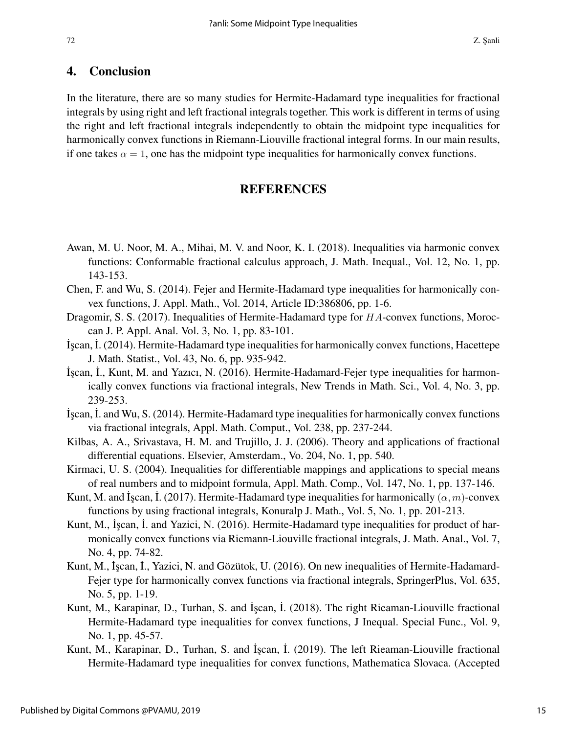#### 72 Z. Şanli

## 4. Conclusion

In the literature, there are so many studies for Hermite-Hadamard type inequalities for fractional integrals by using right and left fractional integrals together. This work is different in terms of using the right and left fractional integrals independently to obtain the midpoint type inequalities for harmonically convex functions in Riemann-Liouville fractional integral forms. In our main results, if one takes  $\alpha = 1$ , one has the midpoint type inequalities for harmonically convex functions.

# **REFERENCES**

- Awan, M. U. Noor, M. A., Mihai, M. V. and Noor, K. I. (2018). Inequalities via harmonic convex functions: Conformable fractional calculus approach, J. Math. Inequal., Vol. 12, No. 1, pp. 143-153.
- Chen, F. and Wu, S. (2014). Fejer and Hermite-Hadamard type inequalities for harmonically convex functions, J. Appl. Math., Vol. 2014, Article ID:386806, pp. 1-6.
- Dragomir, S. S. (2017). Inequalities of Hermite-Hadamard type for HA-convex functions, Moroccan J. P. Appl. Anal. Vol. 3, No. 1, pp. 83-101.
- ˙I¸scan, ˙I. (2014). Hermite-Hadamard type inequalities for harmonically convex functions, Hacettepe J. Math. Statist., Vol. 43, No. 6, pp. 935-942.
- ˙I¸scan, ˙I., Kunt, M. and Yazıcı, N. (2016). Hermite-Hadamard-Fejer type inequalities for harmonically convex functions via fractional integrals, New Trends in Math. Sci., Vol. 4, No. 3, pp. 239-253.
- ˙I¸scan, ˙I. and Wu, S. (2014). Hermite-Hadamard type inequalities for harmonically convex functions via fractional integrals, Appl. Math. Comput., Vol. 238, pp. 237-244.
- Kilbas, A. A., Srivastava, H. M. and Trujillo, J. J. (2006). Theory and applications of fractional differential equations. Elsevier, Amsterdam., Vo. 204, No. 1, pp. 540.
- Kirmaci, U. S. (2004). Inequalities for differentiable mappings and applications to special means of real numbers and to midpoint formula, Appl. Math. Comp., Vol. 147, No. 1, pp. 137-146.
- Kunt, M. and Iscan, I. (2017). Hermite-Hadamard type inequalities for harmonically  $(\alpha, m)$ -convex functions by using fractional integrals, Konuralp J. Math., Vol. 5, No. 1, pp. 201-213.
- Kunt, M., İşcan, İ. and Yazici, N. (2016). Hermite-Hadamard type inequalities for product of harmonically convex functions via Riemann-Liouville fractional integrals, J. Math. Anal., Vol. 7, No. 4, pp. 74-82.
- Kunt, M., İşcan, İ., Yazici, N. and Gözütok, U. (2016). On new inequalities of Hermite-Hadamard-Fejer type for harmonically convex functions via fractional integrals, SpringerPlus, Vol. 635, No. 5, pp. 1-19.
- Kunt, M., Karapinar, D., Turhan, S. and İşcan, İ. (2018). The right Rieaman-Liouville fractional Hermite-Hadamard type inequalities for convex functions, J Inequal. Special Func., Vol. 9, No. 1, pp. 45-57.
- Kunt, M., Karapinar, D., Turhan, S. and İşcan, İ. (2019). The left Rieaman-Liouville fractional Hermite-Hadamard type inequalities for convex functions, Mathematica Slovaca. (Accepted